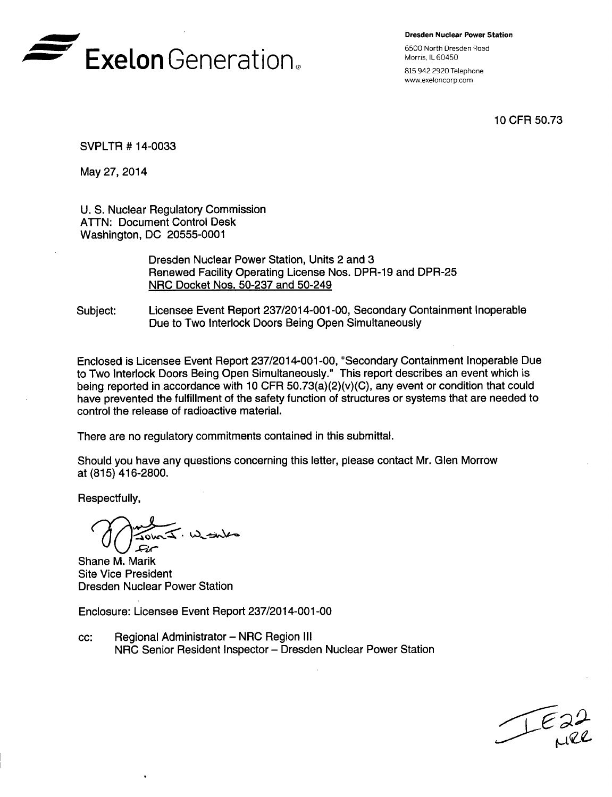

Dresden Nuclear Power Station

www.exeloncorp.com

10 CFR 50.73

SVPLTR # 14-0033

May 27, 2014

U. S. Nuclear Regulatory Commission ATTN: Document Control Desk Washington, DC 20555-0001

> Dresden Nuclear Power Station, Units 2 and 3 Renewed Facility Operating License Nos. DPR-19 and DPR-25 NRC Docket Nos. 50-237 and 50-249

Subject: Licensee Event Report 237/2014-001-00, Secondary Containment Inoperable Due to Two Interlock Doors Being Open Simultaneously

Enclosed is Licensee Event Report 237/2014-001-00, "Secondary Containment Inoperable Due to Two Interlock Doors Being Open Simultaneously." This report describes an event which is being reported in accordance with 10 CFR 50.73(a)(2)(v)(C), any event or condition that could have prevented the fulfillment of the safety function of structures or systems that are needed to control the release of radioactive material.

There are no regulatory commitments contained in this submittal.

Should you have any questions concerning this letter, please contact Mr. Glen Morrow at (815) 416-2800.

Respectfully,

Shane M. Marik Site Vice President Dresden Nuclear Power Station

Enclosure: Licensee Event Report 237/2014-001 -00

cc: Regional Administrator - NRC Region **III** NRC Senior Resident Inspector - Dresden Nuclear Power Station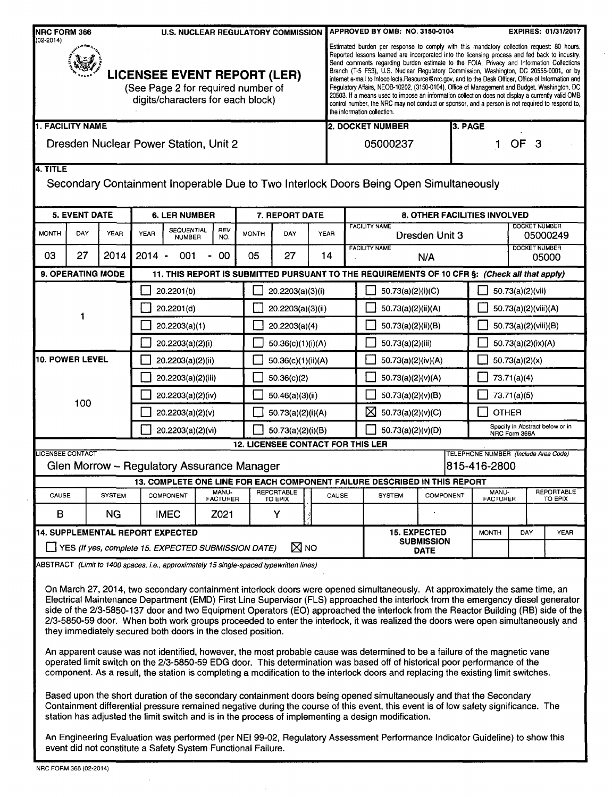| Estimated burden per response to comply with this mandatory collection request: 80 hours.<br>Reported lessons learned are incorporated into the licensing process and fed back to industry.<br>Send comments regarding burden estimate to the FOIA, Privacy and Information Collections<br>Branch (T-5 F53), U.S. Nuclear Regulatory Commission, Washington, DC 20555-0001, or by<br><b>LICENSEE EVENT REPORT (LER)</b><br>internet e-mail to Infocollects. Resource @nrc.gov, and to the Desk Officer, Office of Information and<br>(See Page 2 for required number of<br>Regulatory Affairs, NEOB-10202, (3150-0104), Office of Management and Budget, Washington, DC<br>20503. If a means used to impose an information collection does not display a currently valid OMB<br>digits/characters for each block)<br>control number, the NRC may not conduct or sponsor, and a person is not required to respond to,<br>the information collection.<br><b>1. FACILITY NAME</b><br>2. DOCKET NUMBER<br>3. PAGE<br><b>OF</b><br>Dresden Nuclear Power Station, Unit 2<br>05000237<br>3<br>1<br>Secondary Containment Inoperable Due to Two Interlock Doors Being Open Simultaneously<br><b>5. EVENT DATE</b><br><b>6. LER NUMBER</b><br>7. REPORT DATE<br>8. OTHER FACILITIES INVOLVED<br><b>DOCKET NUMBER</b><br><b>FACILITY NAME</b><br><b>SEQUENTIAL</b><br>REV<br><b>YEAR</b><br><b>MONTH</b><br>DAY<br><b>YEAR</b><br><b>MONTH</b><br>DAY<br><b>YEAR</b><br>Dresden Unit 3<br>05000249<br><b>NUMBER</b><br>NO.<br>DOCKET NUMBER<br><b>FACILITY NAME</b><br>27<br>2014<br>$2014 -$<br>03<br>001<br>00<br>05<br>27<br>14<br>$\blacksquare$<br>N/A<br>05000<br>9. OPERATING MODE<br>11. THIS REPORT IS SUBMITTED PURSUANT TO THE REQUIREMENTS OF 10 CFR §: (Check all that apply)<br>20.2201(b)<br>20.2203(a)(3)(i)<br>50.73(a)(2)(i)(C)<br>50.73(a)(2)(vii)<br>20.2201(d)<br>50.73(a)(2)(ii)(A)<br>50.73(a)(2)(viii)(A)<br>20.2203(a)(3)(ii)<br>20.2203(a)(4)<br>20.2203(a)(1)<br>50.73(a)(2)(ii)(B)<br>50.73(a)(2)(viii)(B)<br>20.2203(a)(2)(i)<br>50.36(c)(1)(i)(A)<br>50.73(a)(2)(iii)<br>50.73(a)(2)(ix)(A)<br>10. POWER LEVEL<br>20.2203(a)(2)(ii)<br>50.73(a)(2)(x)<br>50.36(c)(1)(ii)(A)<br>50.73(a)(2)(iv)(A)<br>20.2203(a)(2)(iii)<br>50.36(c)(2)<br>50.73(a)(2)(v)(A)<br>73.71(a)(4)<br>50.73(a)(2)(v)(B)<br>73.71(a)(5)<br>20.2203(a)(2)(iv)<br>50.46(a)(3)(ii)<br>100<br>⊠<br>50.73(a)(2)(v)(C)<br><b>OTHER</b><br>20.2203(a)(2)(v)<br>50.73(a)(2)(i)(A)<br>Specify in Abstract below or in<br>20.2203(a)(2)(vi)<br>50.73(a)(2)(i)(B)<br>50.73(a)(2)(v)(D)<br>NRC Form 366A<br><b>12. LICENSEE CONTACT FOR THIS LER</b><br><b>LICENSEE CONTACT</b><br>TELEPHONE NUMBER (Include Area Code)<br>Glen Morrow - Regulatory Assurance Manager<br>815-416-2800<br>13. COMPLETE ONE LINE FOR EACH COMPONENT FAILURE DESCRIBED IN THIS REPORT<br>MANU-<br>REPORTABLE<br>REPORTABLE<br>MANU-<br>CAUSE<br>CAUSE<br><b>SYSTEM</b><br><b>COMPONENT</b><br><b>SYSTEM</b><br><b>COMPONENT</b><br><b>FACTURER</b><br><b>FACTURER</b><br>TO EPIX<br>TO EPIX<br>B<br><b>NG</b><br><b>IMEC</b><br>Z021<br>Y<br>14. SUPPLEMENTAL REPORT EXPECTED<br><b>15. EXPECTED</b><br><b>MONTH</b><br><b>YEAR</b><br>DAY<br><b>SUBMISSION</b><br>$\boxtimes$ NO<br>[J] YES (If yes, complete 15. EXPECTED SUBMISSION DATE)<br><b>DATE</b><br>ABSTRACT (Limit to 1400 spaces, i.e., approximately 15 single-spaced typewritten lines)<br>On March 27, 2014, two secondary containment interlock doors were opened simultaneously. At approximately the same time, an<br>Electrical Maintenance Department (EMD) First Line Supervisor (FLS) approached the interlock from the emergency diesel generator<br>side of the 2/3-5850-137 door and two Equipment Operators (EO) approached the interlock from the Reactor Building (RB) side of the<br>2/3-5850-59 door. When both work groups proceeded to enter the interlock, it was realized the doors were open simultaneously and<br>they immediately secured both doors in the closed position.<br>An apparent cause was not identified, however, the most probable cause was determined to be a failure of the magnetic vane<br>operated limit switch on the 2/3-5850-59 EDG door. This determination was based off of historical poor performance of the<br>component. As a result, the station is completing a modification to the interlock doors and replacing the existing limit switches.<br>Based upon the short duration of the secondary containment doors being opened simultaneously and that the Secondary<br>Containment differential pressure remained negative during the course of this event, this event is of low safety significance. The<br>station has adjusted the limit switch and is in the process of implementing a design modification.<br>An Engineering Evaluation was performed (per NEI 99-02, Regulatory Assessment Performance Indicator Guideline) to show this<br>event did not constitute a Safety System Functional Failure.<br>NRC FORM 366 (02-2014) | <b>NRC FORM 366</b><br>$(02 - 2014)$ |  |  |  | <b>U.S. NUCLEAR REGULATORY COMMISSION</b> |  |  |  |  |  | APPROVED BY OMB:  NO. 3150-0104 |  |  |  | <b>EXPIRES: 01/31/2017</b> |  |  |  |
|------------------------------------------------------------------------------------------------------------------------------------------------------------------------------------------------------------------------------------------------------------------------------------------------------------------------------------------------------------------------------------------------------------------------------------------------------------------------------------------------------------------------------------------------------------------------------------------------------------------------------------------------------------------------------------------------------------------------------------------------------------------------------------------------------------------------------------------------------------------------------------------------------------------------------------------------------------------------------------------------------------------------------------------------------------------------------------------------------------------------------------------------------------------------------------------------------------------------------------------------------------------------------------------------------------------------------------------------------------------------------------------------------------------------------------------------------------------------------------------------------------------------------------------------------------------------------------------------------------------------------------------------------------------------------------------------------------------------------------------------------------------------------------------------------------------------------------------------------------------------------------------------------------------------------------------------------------------------------------------------------------------------------------------------------------------------------------------------------------------------------------------------------------------------------------------------------------------------------------------------------------------------------------------------------------------------------------------------------------------------------------------------------------------------------------------------------------------------------------------------------------------------------------------------------------------------------------------------------------------------------------------------------------------------------------------------------------------------------------------------------------------------------------------------------------------------------------------------------------------------------------------------------------------------------------------------------------------------------------------------------------------------------------------------------------------------------------------------------------------------------------------------------------------------------------------------------------------------------------------------------------------------------------------------------------------------------------------------------------------------------------------------------------------------------------------------------------------------------------------------------------------------------------------------------------------------------------------------------------------------------------------------------------------------------------------------------------------------------------------------------------------------------------------------------------------------------------------------------------------------------------------------------------------------------------------------------------------------------------------------------------------------------------------------------------------------------------------------------------------------------------------------------------------------------------------------------------------------------------------------------------------------------------------------------------------------------------------------------------------------------------------------------------------------------------------------------------------------------------------------------------------------------------------------------------------------------------------------------------------------------------------------------------------------------------------------------------------------------------------------------------------------------------------------------------------------------------------------------------------------------------------------------------------------------------------------------------------------------------------------------------------------------|--------------------------------------|--|--|--|-------------------------------------------|--|--|--|--|--|---------------------------------|--|--|--|----------------------------|--|--|--|
|                                                                                                                                                                                                                                                                                                                                                                                                                                                                                                                                                                                                                                                                                                                                                                                                                                                                                                                                                                                                                                                                                                                                                                                                                                                                                                                                                                                                                                                                                                                                                                                                                                                                                                                                                                                                                                                                                                                                                                                                                                                                                                                                                                                                                                                                                                                                                                                                                                                                                                                                                                                                                                                                                                                                                                                                                                                                                                                                                                                                                                                                                                                                                                                                                                                                                                                                                                                                                                                                                                                                                                                                                                                                                                                                                                                                                                                                                                                                                                                                                                                                                                                                                                                                                                                                                                                                                                                                                                                                                                                                                                                                                                                                                                                                                                                                                                                                                                                                                                                                                              |                                      |  |  |  |                                           |  |  |  |  |  |                                 |  |  |  |                            |  |  |  |
|                                                                                                                                                                                                                                                                                                                                                                                                                                                                                                                                                                                                                                                                                                                                                                                                                                                                                                                                                                                                                                                                                                                                                                                                                                                                                                                                                                                                                                                                                                                                                                                                                                                                                                                                                                                                                                                                                                                                                                                                                                                                                                                                                                                                                                                                                                                                                                                                                                                                                                                                                                                                                                                                                                                                                                                                                                                                                                                                                                                                                                                                                                                                                                                                                                                                                                                                                                                                                                                                                                                                                                                                                                                                                                                                                                                                                                                                                                                                                                                                                                                                                                                                                                                                                                                                                                                                                                                                                                                                                                                                                                                                                                                                                                                                                                                                                                                                                                                                                                                                                              |                                      |  |  |  |                                           |  |  |  |  |  |                                 |  |  |  |                            |  |  |  |
|                                                                                                                                                                                                                                                                                                                                                                                                                                                                                                                                                                                                                                                                                                                                                                                                                                                                                                                                                                                                                                                                                                                                                                                                                                                                                                                                                                                                                                                                                                                                                                                                                                                                                                                                                                                                                                                                                                                                                                                                                                                                                                                                                                                                                                                                                                                                                                                                                                                                                                                                                                                                                                                                                                                                                                                                                                                                                                                                                                                                                                                                                                                                                                                                                                                                                                                                                                                                                                                                                                                                                                                                                                                                                                                                                                                                                                                                                                                                                                                                                                                                                                                                                                                                                                                                                                                                                                                                                                                                                                                                                                                                                                                                                                                                                                                                                                                                                                                                                                                                                              |                                      |  |  |  |                                           |  |  |  |  |  |                                 |  |  |  |                            |  |  |  |
|                                                                                                                                                                                                                                                                                                                                                                                                                                                                                                                                                                                                                                                                                                                                                                                                                                                                                                                                                                                                                                                                                                                                                                                                                                                                                                                                                                                                                                                                                                                                                                                                                                                                                                                                                                                                                                                                                                                                                                                                                                                                                                                                                                                                                                                                                                                                                                                                                                                                                                                                                                                                                                                                                                                                                                                                                                                                                                                                                                                                                                                                                                                                                                                                                                                                                                                                                                                                                                                                                                                                                                                                                                                                                                                                                                                                                                                                                                                                                                                                                                                                                                                                                                                                                                                                                                                                                                                                                                                                                                                                                                                                                                                                                                                                                                                                                                                                                                                                                                                                                              | 4. TITLE                             |  |  |  |                                           |  |  |  |  |  |                                 |  |  |  |                            |  |  |  |
|                                                                                                                                                                                                                                                                                                                                                                                                                                                                                                                                                                                                                                                                                                                                                                                                                                                                                                                                                                                                                                                                                                                                                                                                                                                                                                                                                                                                                                                                                                                                                                                                                                                                                                                                                                                                                                                                                                                                                                                                                                                                                                                                                                                                                                                                                                                                                                                                                                                                                                                                                                                                                                                                                                                                                                                                                                                                                                                                                                                                                                                                                                                                                                                                                                                                                                                                                                                                                                                                                                                                                                                                                                                                                                                                                                                                                                                                                                                                                                                                                                                                                                                                                                                                                                                                                                                                                                                                                                                                                                                                                                                                                                                                                                                                                                                                                                                                                                                                                                                                                              |                                      |  |  |  |                                           |  |  |  |  |  |                                 |  |  |  |                            |  |  |  |
|                                                                                                                                                                                                                                                                                                                                                                                                                                                                                                                                                                                                                                                                                                                                                                                                                                                                                                                                                                                                                                                                                                                                                                                                                                                                                                                                                                                                                                                                                                                                                                                                                                                                                                                                                                                                                                                                                                                                                                                                                                                                                                                                                                                                                                                                                                                                                                                                                                                                                                                                                                                                                                                                                                                                                                                                                                                                                                                                                                                                                                                                                                                                                                                                                                                                                                                                                                                                                                                                                                                                                                                                                                                                                                                                                                                                                                                                                                                                                                                                                                                                                                                                                                                                                                                                                                                                                                                                                                                                                                                                                                                                                                                                                                                                                                                                                                                                                                                                                                                                                              |                                      |  |  |  |                                           |  |  |  |  |  |                                 |  |  |  |                            |  |  |  |
|                                                                                                                                                                                                                                                                                                                                                                                                                                                                                                                                                                                                                                                                                                                                                                                                                                                                                                                                                                                                                                                                                                                                                                                                                                                                                                                                                                                                                                                                                                                                                                                                                                                                                                                                                                                                                                                                                                                                                                                                                                                                                                                                                                                                                                                                                                                                                                                                                                                                                                                                                                                                                                                                                                                                                                                                                                                                                                                                                                                                                                                                                                                                                                                                                                                                                                                                                                                                                                                                                                                                                                                                                                                                                                                                                                                                                                                                                                                                                                                                                                                                                                                                                                                                                                                                                                                                                                                                                                                                                                                                                                                                                                                                                                                                                                                                                                                                                                                                                                                                                              |                                      |  |  |  |                                           |  |  |  |  |  |                                 |  |  |  |                            |  |  |  |
|                                                                                                                                                                                                                                                                                                                                                                                                                                                                                                                                                                                                                                                                                                                                                                                                                                                                                                                                                                                                                                                                                                                                                                                                                                                                                                                                                                                                                                                                                                                                                                                                                                                                                                                                                                                                                                                                                                                                                                                                                                                                                                                                                                                                                                                                                                                                                                                                                                                                                                                                                                                                                                                                                                                                                                                                                                                                                                                                                                                                                                                                                                                                                                                                                                                                                                                                                                                                                                                                                                                                                                                                                                                                                                                                                                                                                                                                                                                                                                                                                                                                                                                                                                                                                                                                                                                                                                                                                                                                                                                                                                                                                                                                                                                                                                                                                                                                                                                                                                                                                              |                                      |  |  |  |                                           |  |  |  |  |  |                                 |  |  |  |                            |  |  |  |
|                                                                                                                                                                                                                                                                                                                                                                                                                                                                                                                                                                                                                                                                                                                                                                                                                                                                                                                                                                                                                                                                                                                                                                                                                                                                                                                                                                                                                                                                                                                                                                                                                                                                                                                                                                                                                                                                                                                                                                                                                                                                                                                                                                                                                                                                                                                                                                                                                                                                                                                                                                                                                                                                                                                                                                                                                                                                                                                                                                                                                                                                                                                                                                                                                                                                                                                                                                                                                                                                                                                                                                                                                                                                                                                                                                                                                                                                                                                                                                                                                                                                                                                                                                                                                                                                                                                                                                                                                                                                                                                                                                                                                                                                                                                                                                                                                                                                                                                                                                                                                              |                                      |  |  |  |                                           |  |  |  |  |  |                                 |  |  |  |                            |  |  |  |
|                                                                                                                                                                                                                                                                                                                                                                                                                                                                                                                                                                                                                                                                                                                                                                                                                                                                                                                                                                                                                                                                                                                                                                                                                                                                                                                                                                                                                                                                                                                                                                                                                                                                                                                                                                                                                                                                                                                                                                                                                                                                                                                                                                                                                                                                                                                                                                                                                                                                                                                                                                                                                                                                                                                                                                                                                                                                                                                                                                                                                                                                                                                                                                                                                                                                                                                                                                                                                                                                                                                                                                                                                                                                                                                                                                                                                                                                                                                                                                                                                                                                                                                                                                                                                                                                                                                                                                                                                                                                                                                                                                                                                                                                                                                                                                                                                                                                                                                                                                                                                              |                                      |  |  |  |                                           |  |  |  |  |  |                                 |  |  |  |                            |  |  |  |
|                                                                                                                                                                                                                                                                                                                                                                                                                                                                                                                                                                                                                                                                                                                                                                                                                                                                                                                                                                                                                                                                                                                                                                                                                                                                                                                                                                                                                                                                                                                                                                                                                                                                                                                                                                                                                                                                                                                                                                                                                                                                                                                                                                                                                                                                                                                                                                                                                                                                                                                                                                                                                                                                                                                                                                                                                                                                                                                                                                                                                                                                                                                                                                                                                                                                                                                                                                                                                                                                                                                                                                                                                                                                                                                                                                                                                                                                                                                                                                                                                                                                                                                                                                                                                                                                                                                                                                                                                                                                                                                                                                                                                                                                                                                                                                                                                                                                                                                                                                                                                              |                                      |  |  |  |                                           |  |  |  |  |  |                                 |  |  |  |                            |  |  |  |
|                                                                                                                                                                                                                                                                                                                                                                                                                                                                                                                                                                                                                                                                                                                                                                                                                                                                                                                                                                                                                                                                                                                                                                                                                                                                                                                                                                                                                                                                                                                                                                                                                                                                                                                                                                                                                                                                                                                                                                                                                                                                                                                                                                                                                                                                                                                                                                                                                                                                                                                                                                                                                                                                                                                                                                                                                                                                                                                                                                                                                                                                                                                                                                                                                                                                                                                                                                                                                                                                                                                                                                                                                                                                                                                                                                                                                                                                                                                                                                                                                                                                                                                                                                                                                                                                                                                                                                                                                                                                                                                                                                                                                                                                                                                                                                                                                                                                                                                                                                                                                              |                                      |  |  |  |                                           |  |  |  |  |  |                                 |  |  |  |                            |  |  |  |
|                                                                                                                                                                                                                                                                                                                                                                                                                                                                                                                                                                                                                                                                                                                                                                                                                                                                                                                                                                                                                                                                                                                                                                                                                                                                                                                                                                                                                                                                                                                                                                                                                                                                                                                                                                                                                                                                                                                                                                                                                                                                                                                                                                                                                                                                                                                                                                                                                                                                                                                                                                                                                                                                                                                                                                                                                                                                                                                                                                                                                                                                                                                                                                                                                                                                                                                                                                                                                                                                                                                                                                                                                                                                                                                                                                                                                                                                                                                                                                                                                                                                                                                                                                                                                                                                                                                                                                                                                                                                                                                                                                                                                                                                                                                                                                                                                                                                                                                                                                                                                              |                                      |  |  |  |                                           |  |  |  |  |  |                                 |  |  |  |                            |  |  |  |
|                                                                                                                                                                                                                                                                                                                                                                                                                                                                                                                                                                                                                                                                                                                                                                                                                                                                                                                                                                                                                                                                                                                                                                                                                                                                                                                                                                                                                                                                                                                                                                                                                                                                                                                                                                                                                                                                                                                                                                                                                                                                                                                                                                                                                                                                                                                                                                                                                                                                                                                                                                                                                                                                                                                                                                                                                                                                                                                                                                                                                                                                                                                                                                                                                                                                                                                                                                                                                                                                                                                                                                                                                                                                                                                                                                                                                                                                                                                                                                                                                                                                                                                                                                                                                                                                                                                                                                                                                                                                                                                                                                                                                                                                                                                                                                                                                                                                                                                                                                                                                              |                                      |  |  |  |                                           |  |  |  |  |  |                                 |  |  |  |                            |  |  |  |
|                                                                                                                                                                                                                                                                                                                                                                                                                                                                                                                                                                                                                                                                                                                                                                                                                                                                                                                                                                                                                                                                                                                                                                                                                                                                                                                                                                                                                                                                                                                                                                                                                                                                                                                                                                                                                                                                                                                                                                                                                                                                                                                                                                                                                                                                                                                                                                                                                                                                                                                                                                                                                                                                                                                                                                                                                                                                                                                                                                                                                                                                                                                                                                                                                                                                                                                                                                                                                                                                                                                                                                                                                                                                                                                                                                                                                                                                                                                                                                                                                                                                                                                                                                                                                                                                                                                                                                                                                                                                                                                                                                                                                                                                                                                                                                                                                                                                                                                                                                                                                              |                                      |  |  |  |                                           |  |  |  |  |  |                                 |  |  |  |                            |  |  |  |
|                                                                                                                                                                                                                                                                                                                                                                                                                                                                                                                                                                                                                                                                                                                                                                                                                                                                                                                                                                                                                                                                                                                                                                                                                                                                                                                                                                                                                                                                                                                                                                                                                                                                                                                                                                                                                                                                                                                                                                                                                                                                                                                                                                                                                                                                                                                                                                                                                                                                                                                                                                                                                                                                                                                                                                                                                                                                                                                                                                                                                                                                                                                                                                                                                                                                                                                                                                                                                                                                                                                                                                                                                                                                                                                                                                                                                                                                                                                                                                                                                                                                                                                                                                                                                                                                                                                                                                                                                                                                                                                                                                                                                                                                                                                                                                                                                                                                                                                                                                                                                              |                                      |  |  |  |                                           |  |  |  |  |  |                                 |  |  |  |                            |  |  |  |
|                                                                                                                                                                                                                                                                                                                                                                                                                                                                                                                                                                                                                                                                                                                                                                                                                                                                                                                                                                                                                                                                                                                                                                                                                                                                                                                                                                                                                                                                                                                                                                                                                                                                                                                                                                                                                                                                                                                                                                                                                                                                                                                                                                                                                                                                                                                                                                                                                                                                                                                                                                                                                                                                                                                                                                                                                                                                                                                                                                                                                                                                                                                                                                                                                                                                                                                                                                                                                                                                                                                                                                                                                                                                                                                                                                                                                                                                                                                                                                                                                                                                                                                                                                                                                                                                                                                                                                                                                                                                                                                                                                                                                                                                                                                                                                                                                                                                                                                                                                                                                              |                                      |  |  |  |                                           |  |  |  |  |  |                                 |  |  |  |                            |  |  |  |
|                                                                                                                                                                                                                                                                                                                                                                                                                                                                                                                                                                                                                                                                                                                                                                                                                                                                                                                                                                                                                                                                                                                                                                                                                                                                                                                                                                                                                                                                                                                                                                                                                                                                                                                                                                                                                                                                                                                                                                                                                                                                                                                                                                                                                                                                                                                                                                                                                                                                                                                                                                                                                                                                                                                                                                                                                                                                                                                                                                                                                                                                                                                                                                                                                                                                                                                                                                                                                                                                                                                                                                                                                                                                                                                                                                                                                                                                                                                                                                                                                                                                                                                                                                                                                                                                                                                                                                                                                                                                                                                                                                                                                                                                                                                                                                                                                                                                                                                                                                                                                              |                                      |  |  |  |                                           |  |  |  |  |  |                                 |  |  |  |                            |  |  |  |
|                                                                                                                                                                                                                                                                                                                                                                                                                                                                                                                                                                                                                                                                                                                                                                                                                                                                                                                                                                                                                                                                                                                                                                                                                                                                                                                                                                                                                                                                                                                                                                                                                                                                                                                                                                                                                                                                                                                                                                                                                                                                                                                                                                                                                                                                                                                                                                                                                                                                                                                                                                                                                                                                                                                                                                                                                                                                                                                                                                                                                                                                                                                                                                                                                                                                                                                                                                                                                                                                                                                                                                                                                                                                                                                                                                                                                                                                                                                                                                                                                                                                                                                                                                                                                                                                                                                                                                                                                                                                                                                                                                                                                                                                                                                                                                                                                                                                                                                                                                                                                              |                                      |  |  |  |                                           |  |  |  |  |  |                                 |  |  |  |                            |  |  |  |
|                                                                                                                                                                                                                                                                                                                                                                                                                                                                                                                                                                                                                                                                                                                                                                                                                                                                                                                                                                                                                                                                                                                                                                                                                                                                                                                                                                                                                                                                                                                                                                                                                                                                                                                                                                                                                                                                                                                                                                                                                                                                                                                                                                                                                                                                                                                                                                                                                                                                                                                                                                                                                                                                                                                                                                                                                                                                                                                                                                                                                                                                                                                                                                                                                                                                                                                                                                                                                                                                                                                                                                                                                                                                                                                                                                                                                                                                                                                                                                                                                                                                                                                                                                                                                                                                                                                                                                                                                                                                                                                                                                                                                                                                                                                                                                                                                                                                                                                                                                                                                              |                                      |  |  |  |                                           |  |  |  |  |  |                                 |  |  |  |                            |  |  |  |
|                                                                                                                                                                                                                                                                                                                                                                                                                                                                                                                                                                                                                                                                                                                                                                                                                                                                                                                                                                                                                                                                                                                                                                                                                                                                                                                                                                                                                                                                                                                                                                                                                                                                                                                                                                                                                                                                                                                                                                                                                                                                                                                                                                                                                                                                                                                                                                                                                                                                                                                                                                                                                                                                                                                                                                                                                                                                                                                                                                                                                                                                                                                                                                                                                                                                                                                                                                                                                                                                                                                                                                                                                                                                                                                                                                                                                                                                                                                                                                                                                                                                                                                                                                                                                                                                                                                                                                                                                                                                                                                                                                                                                                                                                                                                                                                                                                                                                                                                                                                                                              |                                      |  |  |  |                                           |  |  |  |  |  |                                 |  |  |  |                            |  |  |  |
|                                                                                                                                                                                                                                                                                                                                                                                                                                                                                                                                                                                                                                                                                                                                                                                                                                                                                                                                                                                                                                                                                                                                                                                                                                                                                                                                                                                                                                                                                                                                                                                                                                                                                                                                                                                                                                                                                                                                                                                                                                                                                                                                                                                                                                                                                                                                                                                                                                                                                                                                                                                                                                                                                                                                                                                                                                                                                                                                                                                                                                                                                                                                                                                                                                                                                                                                                                                                                                                                                                                                                                                                                                                                                                                                                                                                                                                                                                                                                                                                                                                                                                                                                                                                                                                                                                                                                                                                                                                                                                                                                                                                                                                                                                                                                                                                                                                                                                                                                                                                                              |                                      |  |  |  |                                           |  |  |  |  |  |                                 |  |  |  |                            |  |  |  |
|                                                                                                                                                                                                                                                                                                                                                                                                                                                                                                                                                                                                                                                                                                                                                                                                                                                                                                                                                                                                                                                                                                                                                                                                                                                                                                                                                                                                                                                                                                                                                                                                                                                                                                                                                                                                                                                                                                                                                                                                                                                                                                                                                                                                                                                                                                                                                                                                                                                                                                                                                                                                                                                                                                                                                                                                                                                                                                                                                                                                                                                                                                                                                                                                                                                                                                                                                                                                                                                                                                                                                                                                                                                                                                                                                                                                                                                                                                                                                                                                                                                                                                                                                                                                                                                                                                                                                                                                                                                                                                                                                                                                                                                                                                                                                                                                                                                                                                                                                                                                                              |                                      |  |  |  |                                           |  |  |  |  |  |                                 |  |  |  |                            |  |  |  |
|                                                                                                                                                                                                                                                                                                                                                                                                                                                                                                                                                                                                                                                                                                                                                                                                                                                                                                                                                                                                                                                                                                                                                                                                                                                                                                                                                                                                                                                                                                                                                                                                                                                                                                                                                                                                                                                                                                                                                                                                                                                                                                                                                                                                                                                                                                                                                                                                                                                                                                                                                                                                                                                                                                                                                                                                                                                                                                                                                                                                                                                                                                                                                                                                                                                                                                                                                                                                                                                                                                                                                                                                                                                                                                                                                                                                                                                                                                                                                                                                                                                                                                                                                                                                                                                                                                                                                                                                                                                                                                                                                                                                                                                                                                                                                                                                                                                                                                                                                                                                                              |                                      |  |  |  |                                           |  |  |  |  |  |                                 |  |  |  |                            |  |  |  |
|                                                                                                                                                                                                                                                                                                                                                                                                                                                                                                                                                                                                                                                                                                                                                                                                                                                                                                                                                                                                                                                                                                                                                                                                                                                                                                                                                                                                                                                                                                                                                                                                                                                                                                                                                                                                                                                                                                                                                                                                                                                                                                                                                                                                                                                                                                                                                                                                                                                                                                                                                                                                                                                                                                                                                                                                                                                                                                                                                                                                                                                                                                                                                                                                                                                                                                                                                                                                                                                                                                                                                                                                                                                                                                                                                                                                                                                                                                                                                                                                                                                                                                                                                                                                                                                                                                                                                                                                                                                                                                                                                                                                                                                                                                                                                                                                                                                                                                                                                                                                                              |                                      |  |  |  |                                           |  |  |  |  |  |                                 |  |  |  |                            |  |  |  |
|                                                                                                                                                                                                                                                                                                                                                                                                                                                                                                                                                                                                                                                                                                                                                                                                                                                                                                                                                                                                                                                                                                                                                                                                                                                                                                                                                                                                                                                                                                                                                                                                                                                                                                                                                                                                                                                                                                                                                                                                                                                                                                                                                                                                                                                                                                                                                                                                                                                                                                                                                                                                                                                                                                                                                                                                                                                                                                                                                                                                                                                                                                                                                                                                                                                                                                                                                                                                                                                                                                                                                                                                                                                                                                                                                                                                                                                                                                                                                                                                                                                                                                                                                                                                                                                                                                                                                                                                                                                                                                                                                                                                                                                                                                                                                                                                                                                                                                                                                                                                                              |                                      |  |  |  |                                           |  |  |  |  |  |                                 |  |  |  |                            |  |  |  |

 $\overline{\phantom{a}}$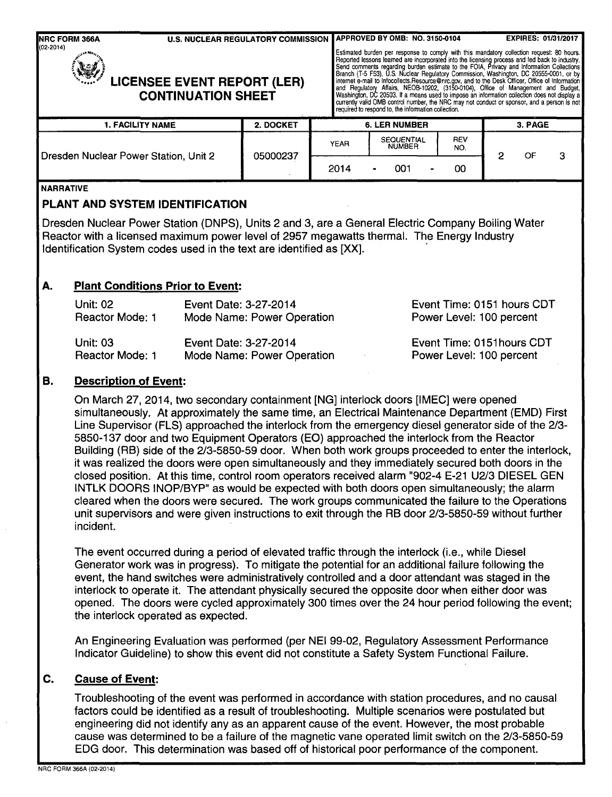| <b>U.S. NUCLEAR REGULATORY COMMISSION</b><br>NRC FORM 366A<br>(02-2014)<br><b>VE!</b><br><b>LICENSEE EVENT REPORT (LER)</b><br><b>CONTINUATION SHEET</b> |           |             | APPROVED BY OMB: NO. 3150-0104<br>required to respond to, the information collection. | Estimated burden per response to comply with this mandatory collection request: 80 hours.<br>Reported lessons learned are incorporated into the licensing process and fed back to industry.<br>Send comments regarding burden estimate to the FOIA, Privacy and Information Collections<br>Branch (T-5 F53), U.S. Nuclear Regulatory Commission, Washington, DC 20555-0001, or by<br>internet e-mail to Infocollects.Resource@nrc.gov, and to the Desk Officer, Office of Information<br>and Regulatory Affairs, NEOB-10202, (3150-0104), Office of Management and Budget,<br>Washington, DC 20503. If a means used to impose an information collection does not display a<br>currently valid OMB control number, the NRC may not conduct or sponsor, and a person is not |   | <b>EXPIRES: 01/31/2017</b> |   |
|----------------------------------------------------------------------------------------------------------------------------------------------------------|-----------|-------------|---------------------------------------------------------------------------------------|---------------------------------------------------------------------------------------------------------------------------------------------------------------------------------------------------------------------------------------------------------------------------------------------------------------------------------------------------------------------------------------------------------------------------------------------------------------------------------------------------------------------------------------------------------------------------------------------------------------------------------------------------------------------------------------------------------------------------------------------------------------------------|---|----------------------------|---|
| <b>1. FACILITY NAME</b>                                                                                                                                  | 2. DOCKET |             | <b>6. LER NUMBER</b>                                                                  |                                                                                                                                                                                                                                                                                                                                                                                                                                                                                                                                                                                                                                                                                                                                                                           |   | 3. PAGE                    |   |
| Dresden Nuclear Power Station, Unit 2                                                                                                                    | 05000237  | <b>YEAR</b> | <b>SEQUENTIAL</b><br><b>NUMBER</b>                                                    | REV<br>NO.                                                                                                                                                                                                                                                                                                                                                                                                                                                                                                                                                                                                                                                                                                                                                                | 2 | OF                         | з |
|                                                                                                                                                          |           | 2014        | 001                                                                                   | 00                                                                                                                                                                                                                                                                                                                                                                                                                                                                                                                                                                                                                                                                                                                                                                        |   |                            |   |

#### NARRATIVE

#### **PLANT AND** SYSTEM **IDENTIFICATION**

Dresden Nuclear Power Station (DNPS), Units 2 and 3, are a General Electric Company Boiling Water Reactor with a licensed maximum power level of 2957 megawatts thermal. The Energy Industry Identification System codes used in the text are identified as [XX].

## A. Plant Conditions Prior to Event:

| Unit: 02               | Event Date: 3-27-2014      | Event Time: 0151 hours CDT |
|------------------------|----------------------------|----------------------------|
| Reactor Mode: 1        | Mode Name: Power Operation | Power Level: 100 percent   |
| <b>Unit: 03</b>        | Event Date: 3-27-2014      | Event Time: 0151 hours CDT |
| <b>Reactor Mode: 1</b> | Mode Name: Power Operation | Power Level: 100 percent   |

## B. Description of Event:

On March 27, 2014, two secondary containment [NG] interlock doors [IMEC] were opened simultaneously. At approximately the same time, an Electrical Maintenance Department (EMD) First Line Supervisor (FLS) approached the interlock from the emergency diesel generator side of the 2/3- 5850-137 door and two Equipment Operators (EO) approached the interlock from the Reactor Building (RB) side of the 2/3-5850-59 door. When both work groups proceeded to enter the interlock, it was realized the doors were open simultaneously and they immediately secured both doors in the closed position. At this time, control room operators received alarm "902-4 E-21 U2/3 DIESEL GEN INTLK DOORS INOP/BYP" as would be expected with both doors open simultaneously; the alarm cleared when the doors were secured. The work groups communicated the failure to the Operations unit supervisors and were given instructions to exit through the RB door 2/3-5850-59 without further incident.

The event occurred during a period of elevated traffic through the interlock (i.e., while Diesel Generator work was in progress). To mitigate the potential for an additional failure following the event, the hand switches were administratively controlled and a door attendant was staged in the interlock to operate it. The attendant physically secured the opposite door when either door was opened. The doors were cycled approximately 300 times over the 24 hour period following the event; the interlock operated as expected.

An Engineering Evaluation was performed (per NEI 99-02, Regulatory Assessment Performance Indicator Guideline) to show this event did not constitute a Safety System Functional Failure.

# C. Cause of Event:

Troubleshooting of the event was performed in accordance with station procedures, and no causal factors could be identified as a result of troubleshooting. Multiple scenarios were postulated but engineering did not identify any as an apparent cause of the event. However, the most probable cause was determined to be a failure of the magnetic vane operated limit switch on the 2/3-5850-59 EDG door. This determination was based off of historical poor performance of the component.